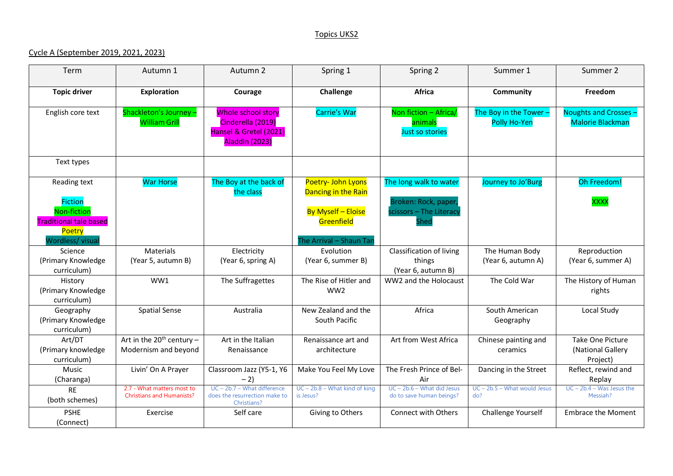## Topics UKS2

## Cycle A (September 2019, 2021, 2023)

| Term                                                                      | Autumn 1                                                       | Autumn 2                                                                            | Spring 1                                                           | Spring 2                                                 | Summer 1                                      | Summer 2                                          |
|---------------------------------------------------------------------------|----------------------------------------------------------------|-------------------------------------------------------------------------------------|--------------------------------------------------------------------|----------------------------------------------------------|-----------------------------------------------|---------------------------------------------------|
| <b>Topic driver</b>                                                       | <b>Exploration</b>                                             | Courage                                                                             | Challenge                                                          | <b>Africa</b>                                            | <b>Community</b>                              | Freedom                                           |
| English core text                                                         | Shackleton's Journey-<br><b>William Grill</b>                  | Whole school story<br>Cinderella (2019)<br>Hansel & Gretel (2021)<br>Aladdin (2023) | Carrie's War                                                       | Non fiction - Africa/<br>animals<br>Just so stories      | The Boy in the Tower -<br><b>Polly Ho-Yen</b> | Noughts and Crosses -<br>Malorie Blackman         |
| Text types                                                                |                                                                |                                                                                     |                                                                    |                                                          |                                               |                                                   |
| Reading text<br><b>Fiction</b>                                            | <b>War Horse</b>                                               | The Boy at the back of<br>the class                                                 | Poetry- John Lyons<br>Dancing in the Rain                          | The long walk to water<br>Broken: Rock, paper,           | Journey to Jo'Burg                            | Oh Freedom!<br><b>XXXX</b>                        |
| Non-fiction<br><b>Traditional tale based</b><br>Poetry<br>Wordless/visual |                                                                |                                                                                     | <b>By Myself - Eloise</b><br>Greenfield<br>The Arrival - Shaun Tan | cissors - The Literacy<br>Shed                           |                                               |                                                   |
| Science<br>(Primary Knowledge<br>curriculum)                              | Materials<br>(Year 5, autumn B)                                | Electricity<br>(Year 6, spring A)                                                   | Evolution<br>(Year 6, summer B)                                    | Classification of living<br>things<br>(Year 6, autumn B) | The Human Body<br>(Year 6, autumn A)          | Reproduction<br>(Year 6, summer A)                |
| History<br>(Primary Knowledge<br>curriculum)                              | WW1                                                            | The Suffragettes                                                                    | The Rise of Hitler and<br>WW <sub>2</sub>                          | WW2 and the Holocaust                                    | The Cold War                                  | The History of Human<br>rights                    |
| Geography<br>(Primary Knowledge<br>curriculum)                            | <b>Spatial Sense</b>                                           | Australia                                                                           | New Zealand and the<br>South Pacific                               | Africa                                                   | South American<br>Geography                   | Local Study                                       |
| Art/DT<br>(Primary knowledge<br>curriculum)                               | Art in the $20^{th}$ century -<br>Modernism and beyond         | Art in the Italian<br>Renaissance                                                   | Renaissance art and<br>architecture                                | Art from West Africa                                     | Chinese painting and<br>ceramics              | Take One Picture<br>(National Gallery<br>Project) |
| Music<br>(Charanga)                                                       | Livin' On A Prayer                                             | Classroom Jazz (Y5-1, Y6<br>$-2)$                                                   | Make You Feel My Love                                              | The Fresh Prince of Bel-<br>Air                          | Dancing in the Street                         | Reflect, rewind and<br>Replay                     |
| <b>RF</b><br>(both schemes)                                               | 2.7 - What matters most to<br><b>Christians and Humanists?</b> | UC - 2b.7 - What difference<br>does the resurrection make to<br>Christians?         | $UC - 2b.8 - What kind of king$<br>is Jesus?                       | $UC - 2b.6 - What did Jesus$<br>do to save human beings? | $UC - 2b.5 - What would Jesus$<br>do?         | $UC - 2b.4 - Was$ Jesus the<br>Messiah?           |
| <b>PSHE</b><br>(Connect)                                                  | Exercise                                                       | Self care                                                                           | Giving to Others                                                   | <b>Connect with Others</b>                               | Challenge Yourself                            | <b>Embrace the Moment</b>                         |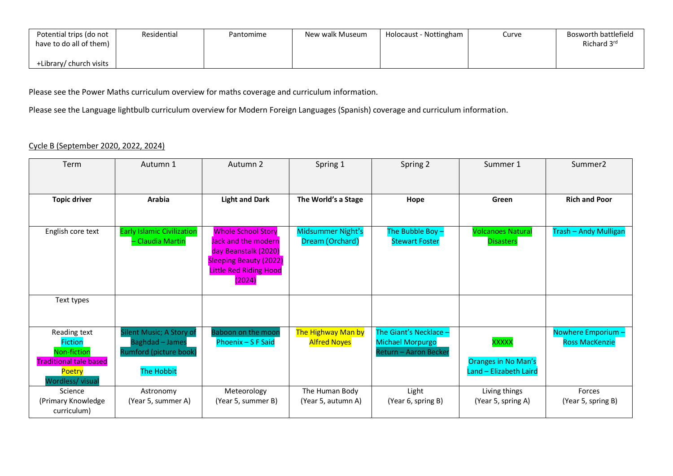| Potential trips (do not | Residential<br>Pantomime | New walk Museum | Holocaust - Nottingham | Curve | Bosworth battlefield |
|-------------------------|--------------------------|-----------------|------------------------|-------|----------------------|
| have to do all of them) |                          |                 |                        |       | Richard 3rd          |
| +Library/ church visits |                          |                 |                        |       |                      |

Please see the Power Maths curriculum overview for maths coverage and curriculum information.

Please see the Language lightbulb curriculum overview for Modern Foreign Languages (Spanish) coverage and curriculum information.

## Cycle B (September 2020, 2022, 2024)

| Term                                                                                                         | Autumn 1                                                                                          | Autumn 2                                                                                                                                             | Spring 1                                  | Spring 2                                                                   | Summer 1                                                             | Summer <sub>2</sub>                         |
|--------------------------------------------------------------------------------------------------------------|---------------------------------------------------------------------------------------------------|------------------------------------------------------------------------------------------------------------------------------------------------------|-------------------------------------------|----------------------------------------------------------------------------|----------------------------------------------------------------------|---------------------------------------------|
|                                                                                                              |                                                                                                   |                                                                                                                                                      |                                           |                                                                            |                                                                      |                                             |
| <b>Topic driver</b>                                                                                          | Arabia                                                                                            | <b>Light and Dark</b>                                                                                                                                | The World's a Stage                       | Hope                                                                       | Green                                                                | <b>Rich and Poor</b>                        |
|                                                                                                              |                                                                                                   |                                                                                                                                                      |                                           |                                                                            |                                                                      |                                             |
| English core text                                                                                            | <b>Early Islamic Civilization</b><br>- Claudia Martin                                             | <b>Whole School Story</b><br>Jack and the modern<br>day Beanstalk (2020)<br><b>Sleeping Beauty (2022)</b><br><b>Little Red Riding Hood</b><br>(2024) | Midsummer Night's<br>Dream (Orchard)      | The Bubble Boy-<br><b>Stewart Foster</b>                                   | <b>Volcanoes Natural</b><br><b>Disasters</b>                         | <b>Trash - Andy Mulligan</b>                |
| Text types                                                                                                   |                                                                                                   |                                                                                                                                                      |                                           |                                                                            |                                                                      |                                             |
| Reading text<br><b>Fiction</b><br>Non-fiction<br><b>Traditional tale based</b><br>Poetry<br>Wordless/ visual | Silent Music; A Story of<br><b>Baghdad - James</b><br>Rumford (picture book)<br><b>The Hobbit</b> | <b>Baboon on the moon</b><br>Phoenix - S F Said                                                                                                      | The Highway Man by<br><b>Alfred Noyes</b> | The Giant's Necklace -<br><b>Michael Morpurgo</b><br>Return - Aaron Becker | <b>XXXXX</b><br><b>Oranges in No Man's</b><br>Land - Elizabeth Laird | Nowhere Emporium -<br><b>Ross MacKenzie</b> |
| Science<br>(Primary Knowledge<br>curriculum)                                                                 | Astronomy<br>(Year 5, summer A)                                                                   | Meteorology<br>(Year 5, summer B)                                                                                                                    | The Human Body<br>(Year 5, autumn A)      | Light<br>(Year 6, spring B)                                                | Living things<br>(Year 5, spring A)                                  | Forces<br>(Year 5, spring B)                |